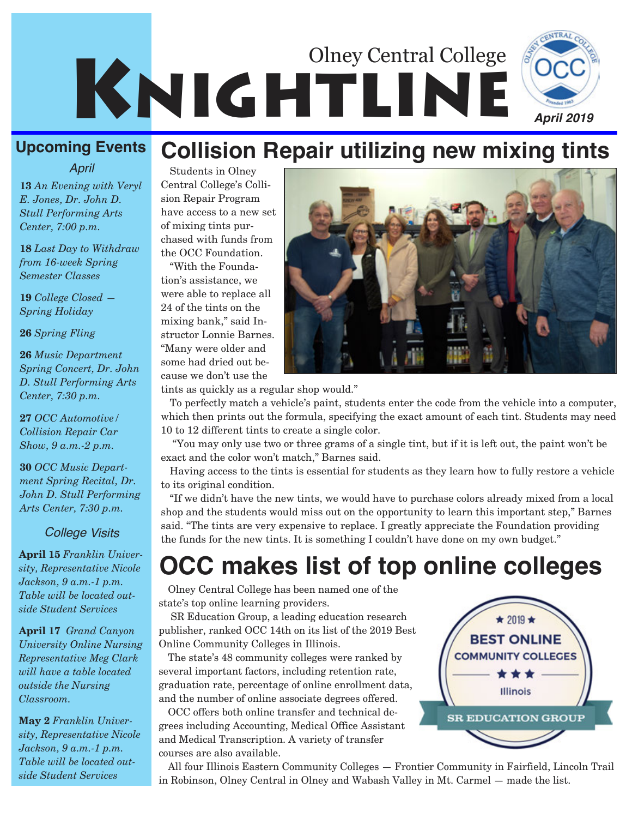

### **Upcoming Events**

*April*

**13** *An Evening with Veryl E. Jones, Dr. John D. Stull Performing Arts Center, 7:00 p.m.*

**18** *Last Day to Withdraw from 16-week Spring Semester Classes*

**19** *College Closed — Spring Holiday*

**26** *Spring Fling*

**26** *Music Department Spring Concert, Dr. John D. Stull Performing Arts Center, 7:30 p.m.*

**27** *OCC Automotive/ Collision Repair Car Show, 9 a.m.-2 p.m.*

**30** *OCC Music Department Spring Recital, Dr. John D. Stull Performing Arts Center, 7:30 p.m.*

#### *College Visits*

**April 15** *Franklin University, Representative Nicole Jackson, 9 a.m.-1 p.m. Table will be located outside Student Services*

**April 17** *Grand Canyon University Online Nursing Representative Meg Clark will have a table located outside the Nursing Classroom.*

**May 2** *Franklin University, Representative Nicole Jackson, 9 a.m.-1 p.m. Table will be located outside Student Services*

## **Collision Repair utilizing new mixing tints**

Students in Olney Central College's Collision Repair Program have access to a new set of mixing tints purchased with funds from the OCC Foundation.

"With the Foundation's assistance, we were able to replace all 24 of the tints on the mixing bank," said Instructor Lonnie Barnes. "Many were older and some had dried out because we don't use the

tints as quickly as a regular shop would."

To perfectly match a vehicle's paint, students enter the code from the vehicle into a computer, which then prints out the formula, specifying the exact amount of each tint. Students may need 10 to 12 different tints to create a single color.

"You may only use two or three grams of a single tint, but if it is left out, the paint won't be exact and the color won't match," Barnes said.

Having access to the tints is essential for students as they learn how to fully restore a vehicle to its original condition.

"If we didn't have the new tints, we would have to purchase colors already mixed from a local shop and the students would miss out on the opportunity to learn this important step," Barnes said. "The tints are very expensive to replace. I greatly appreciate the Foundation providing the funds for the new tints. It is something I couldn't have done on my own budget."

# **OCC makes list of top online colleges**

Olney Central College has been named one of the state's top online learning providers.

SR Education Group, a leading education research publisher, ranked OCC 14th on its list of the 2019 Best Online Community Colleges in Illinois.

The state's 48 community colleges were ranked by several important factors, including retention rate, graduation rate, percentage of online enrollment data, and the number of online associate degrees offered.

OCC offers both online transfer and technical degrees including Accounting, Medical Office Assistant and Medical Transcription. A variety of transfer courses are also available.

All four Illinois Eastern Community Colleges — Frontier Community in Fairfield, Lincoln Trail in Robinson, Olney Central in Olney and Wabash Valley in Mt. Carmel — made the list.

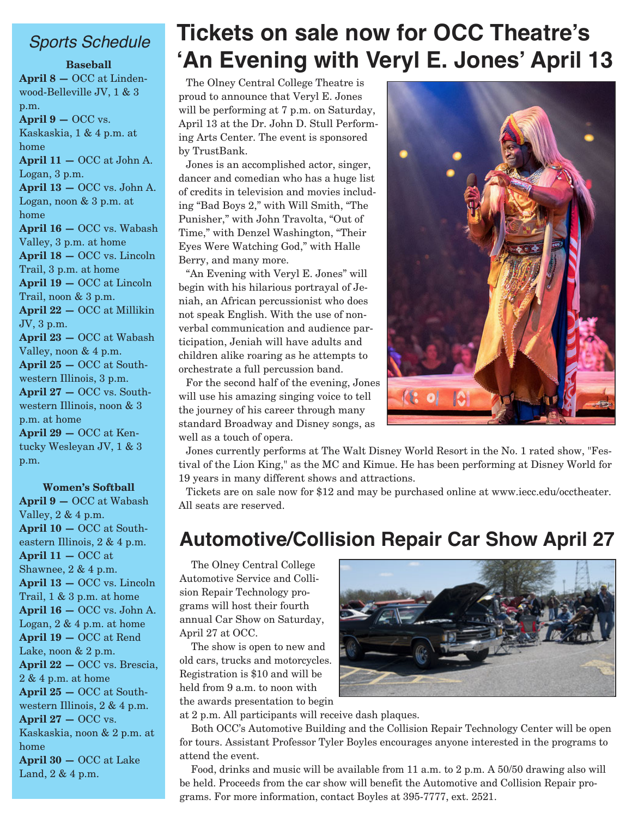#### *Sports Schedule*

**Baseball April 8 —** OCC at Lindenwood-Belleville JV, 1 & 3 p.m. **April 9 —** OCC vs. Kaskaskia, 1 & 4 p.m. at home **April 11 —** OCC at John A. Logan, 3 p.m. **April 13 —** OCC vs. John A. Logan, noon & 3 p.m. at home **April 16 —** OCC vs. Wabash Valley, 3 p.m. at home **April 18 —** OCC vs. Lincoln Trail, 3 p.m. at home **April 19 —** OCC at Lincoln Trail, noon & 3 p.m. **April 22 —** OCC at Millikin JV, 3 p.m. **April 23 —** OCC at Wabash Valley, noon & 4 p.m. **April 25 —** OCC at Southwestern Illinois, 3 p.m. **April 27 —** OCC vs. Southwestern Illinois, noon & 3 p.m. at home **April 29 —** OCC at Kentucky Wesleyan JV, 1 & 3 p.m.

#### **Women's Softball**

**April 9 —** OCC at Wabash Valley,  $2 \& 4 \text{ p.m.}$ **April 10 —** OCC at Southeastern Illinois, 2 & 4 p.m. **April 11 —** OCC at Shawnee, 2 & 4 p.m. **April 13 —** OCC vs. Lincoln Trail, 1 & 3 p.m. at home **April 16 —** OCC vs. John A. Logan, 2 & 4 p.m. at home **April 19 —** OCC at Rend Lake, noon & 2 p.m. **April 22 —** OCC vs. Brescia, 2 & 4 p.m. at home **April 25 —** OCC at Southwestern Illinois, 2 & 4 p.m. **April 27 —** OCC vs. Kaskaskia, noon & 2 p.m. at home **April 30 —** OCC at Lake Land, 2 & 4 p.m.

## **Tickets on sale now for OCC Theatre's 'An Evening with Veryl E. Jones' April 13**

The Olney Central College Theatre is proud to announce that Veryl E. Jones will be performing at 7 p.m. on Saturday, April 13 at the Dr. John D. Stull Performing Arts Center. The event is sponsored by TrustBank.

Jones is an accomplished actor, singer, dancer and comedian who has a huge list of credits in television and movies including "Bad Boys 2," with Will Smith, "The Punisher," with John Travolta, "Out of Time," with Denzel Washington, "Their Eyes Were Watching God," with Halle Berry, and many more.

"An Evening with Veryl E. Jones" will begin with his hilarious portrayal of Jeniah, an African percussionist who does not speak English. With the use of nonverbal communication and audience participation, Jeniah will have adults and children alike roaring as he attempts to orchestrate a full percussion band.

For the second half of the evening, Jones will use his amazing singing voice to tell the journey of his career through many standard Broadway and Disney songs, as well as a touch of opera.



Jones currently performs at The Walt Disney World Resort in the No. 1 rated show, "Festival of the Lion King," as the MC and Kimue. He has been performing at Disney World for 19 years in many different shows and attractions.

Tickets are on sale now for \$12 and may be purchased online at www.iecc.edu/occtheater. All seats are reserved.

#### **Automotive/Collision Repair Car Show April 27**

The Olney Central College Automotive Service and Collision Repair Technology programs will host their fourth annual Car Show on Saturday, April 27 at OCC.

The show is open to new and old cars, trucks and motorcycles. Registration is \$10 and will be held from 9 a.m. to noon with the awards presentation to begin

at 2 p.m. All participants will receive dash plaques.

Both OCC's Automotive Building and the Collision Repair Technology Center will be open for tours. Assistant Professor Tyler Boyles encourages anyone interested in the programs to attend the event.

Food, drinks and music will be available from 11 a.m. to 2 p.m. A 50/50 drawing also will be held. Proceeds from the car show will benefit the Automotive and Collision Repair programs. For more information, contact Boyles at 395-7777, ext. 2521.